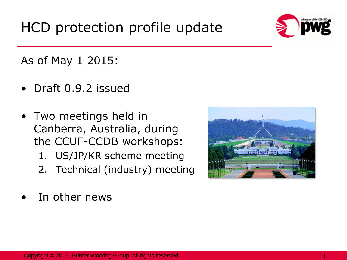

As of May 1 2015:

- Draft 0.9.2 issued
- Two meetings held in Canberra, Australia, during the CCUF-CCDB workshops:
	- 1. US/JP/KR scheme meeting
	- 2. Technical (industry) meeting
- 

In other news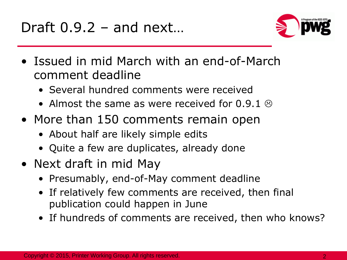

- Issued in mid March with an end-of-March comment deadline
	- Several hundred comments were received
	- Almost the same as were received for 0.9.1  $\otimes$
- More than 150 comments remain open
	- About half are likely simple edits
	- Quite a few are duplicates, already done
- Next draft in mid May
	- Presumably, end-of-May comment deadline
	- If relatively few comments are received, then final publication could happen in June
	- If hundreds of comments are received, then who knows?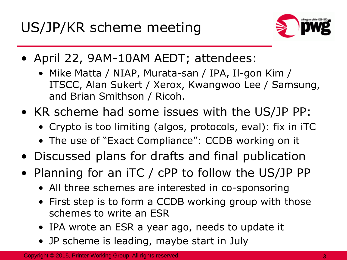

- April 22, 9AM-10AM AEDT; attendees:
	- Mike Matta / NIAP, Murata-san / IPA, Il-gon Kim / ITSCC, Alan Sukert / Xerox, Kwangwoo Lee / Samsung, and Brian Smithson / Ricoh.
- KR scheme had some issues with the US/JP PP:
	- Crypto is too limiting (algos, protocols, eval): fix in iTC
	- The use of "Exact Compliance": CCDB working on it
- Discussed plans for drafts and final publication
- Planning for an iTC / cPP to follow the US/JP PP
	- All three schemes are interested in co-sponsoring
	- First step is to form a CCDB working group with those schemes to write an ESR
	- IPA wrote an ESR a year ago, needs to update it
	- JP scheme is leading, maybe start in July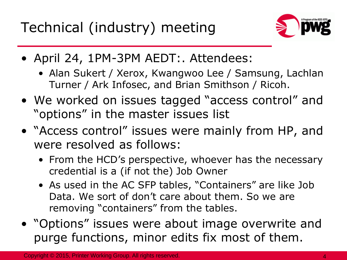Technical (industry) meeting



- April 24, 1PM-3PM AEDT:. Attendees:
	- Alan Sukert / Xerox, Kwangwoo Lee / Samsung, Lachlan Turner / Ark Infosec, and Brian Smithson / Ricoh.
- We worked on issues tagged "access control" and "options" in the master issues list
- "Access control" issues were mainly from HP, and were resolved as follows:
	- From the HCD's perspective, whoever has the necessary credential is a (if not the) Job Owner
	- As used in the AC SFP tables, "Containers" are like Job Data. We sort of don't care about them. So we are removing "containers" from the tables.
- "Options" issues were about image overwrite and purge functions, minor edits fix most of them.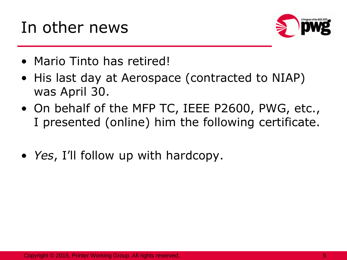## In other news



- Mario Tinto has retired!
- His last day at Aerospace (contracted to NIAP) was April 30.
- On behalf of the MFP TC, IEEE P2600, PWG, etc., I presented (online) him the following certificate.
- *Yes*, I'll follow up with hardcopy.